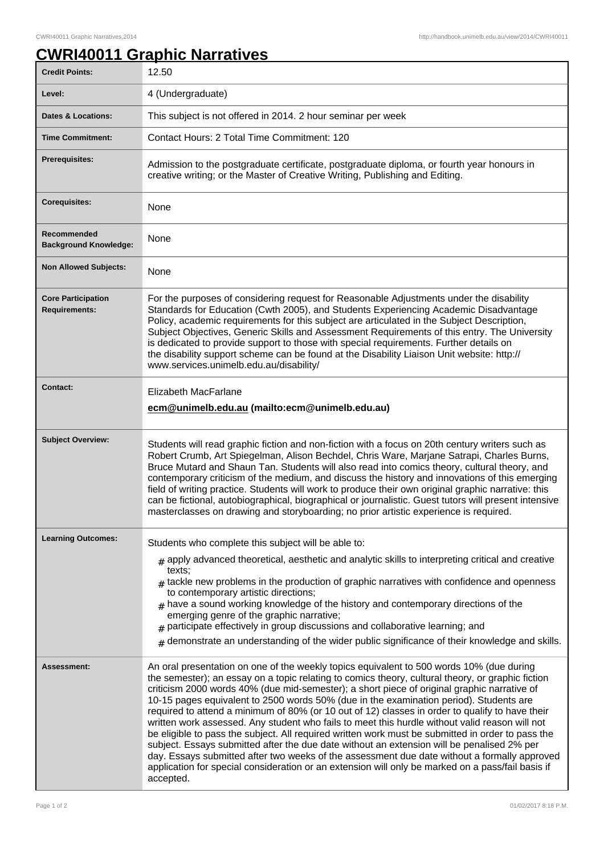## **CWRI40011 Graphic Narratives**

| <b>Credit Points:</b>                             | 12.50                                                                                                                                                                                                                                                                                                                                                                                                                                                                                                                                                                                                                                                                                                                                                                                                                                                                                                                                                                                                            |
|---------------------------------------------------|------------------------------------------------------------------------------------------------------------------------------------------------------------------------------------------------------------------------------------------------------------------------------------------------------------------------------------------------------------------------------------------------------------------------------------------------------------------------------------------------------------------------------------------------------------------------------------------------------------------------------------------------------------------------------------------------------------------------------------------------------------------------------------------------------------------------------------------------------------------------------------------------------------------------------------------------------------------------------------------------------------------|
| Level:                                            | 4 (Undergraduate)                                                                                                                                                                                                                                                                                                                                                                                                                                                                                                                                                                                                                                                                                                                                                                                                                                                                                                                                                                                                |
| <b>Dates &amp; Locations:</b>                     | This subject is not offered in 2014. 2 hour seminar per week                                                                                                                                                                                                                                                                                                                                                                                                                                                                                                                                                                                                                                                                                                                                                                                                                                                                                                                                                     |
| <b>Time Commitment:</b>                           | Contact Hours: 2 Total Time Commitment: 120                                                                                                                                                                                                                                                                                                                                                                                                                                                                                                                                                                                                                                                                                                                                                                                                                                                                                                                                                                      |
| <b>Prerequisites:</b>                             | Admission to the postgraduate certificate, postgraduate diploma, or fourth year honours in<br>creative writing; or the Master of Creative Writing, Publishing and Editing.                                                                                                                                                                                                                                                                                                                                                                                                                                                                                                                                                                                                                                                                                                                                                                                                                                       |
| <b>Corequisites:</b>                              | None                                                                                                                                                                                                                                                                                                                                                                                                                                                                                                                                                                                                                                                                                                                                                                                                                                                                                                                                                                                                             |
| Recommended<br><b>Background Knowledge:</b>       | None                                                                                                                                                                                                                                                                                                                                                                                                                                                                                                                                                                                                                                                                                                                                                                                                                                                                                                                                                                                                             |
| <b>Non Allowed Subjects:</b>                      | None                                                                                                                                                                                                                                                                                                                                                                                                                                                                                                                                                                                                                                                                                                                                                                                                                                                                                                                                                                                                             |
| <b>Core Participation</b><br><b>Requirements:</b> | For the purposes of considering request for Reasonable Adjustments under the disability<br>Standards for Education (Cwth 2005), and Students Experiencing Academic Disadvantage<br>Policy, academic requirements for this subject are articulated in the Subject Description,<br>Subject Objectives, Generic Skills and Assessment Requirements of this entry. The University<br>is dedicated to provide support to those with special requirements. Further details on<br>the disability support scheme can be found at the Disability Liaison Unit website: http://<br>www.services.unimelb.edu.au/disability/                                                                                                                                                                                                                                                                                                                                                                                                 |
| <b>Contact:</b>                                   | Elizabeth MacFarlane<br>ecm@unimelb.edu.au (mailto:ecm@unimelb.edu.au)                                                                                                                                                                                                                                                                                                                                                                                                                                                                                                                                                                                                                                                                                                                                                                                                                                                                                                                                           |
| <b>Subject Overview:</b>                          | Students will read graphic fiction and non-fiction with a focus on 20th century writers such as<br>Robert Crumb, Art Spiegelman, Alison Bechdel, Chris Ware, Marjane Satrapi, Charles Burns,<br>Bruce Mutard and Shaun Tan. Students will also read into comics theory, cultural theory, and<br>contemporary criticism of the medium, and discuss the history and innovations of this emerging<br>field of writing practice. Students will work to produce their own original graphic narrative: this<br>can be fictional, autobiographical, biographical or journalistic. Guest tutors will present intensive<br>masterclasses on drawing and storyboarding; no prior artistic experience is required.                                                                                                                                                                                                                                                                                                          |
| <b>Learning Outcomes:</b>                         | Students who complete this subject will be able to:                                                                                                                                                                                                                                                                                                                                                                                                                                                                                                                                                                                                                                                                                                                                                                                                                                                                                                                                                              |
|                                                   | $_{\#}$ apply advanced theoretical, aesthetic and analytic skills to interpreting critical and creative<br>texts;<br>$#$ tackle new problems in the production of graphic narratives with confidence and openness<br>to contemporary artistic directions;<br>$#$ have a sound working knowledge of the history and contemporary directions of the<br>emerging genre of the graphic narrative;<br>$*$ participate effectively in group discussions and collaborative learning; and<br>$*$ demonstrate an understanding of the wider public significance of their knowledge and skills.                                                                                                                                                                                                                                                                                                                                                                                                                            |
| Assessment:                                       | An oral presentation on one of the weekly topics equivalent to 500 words 10% (due during<br>the semester); an essay on a topic relating to comics theory, cultural theory, or graphic fiction<br>criticism 2000 words 40% (due mid-semester); a short piece of original graphic narrative of<br>10-15 pages equivalent to 2500 words 50% (due in the examination period). Students are<br>required to attend a minimum of 80% (or 10 out of 12) classes in order to qualify to have their<br>written work assessed. Any student who fails to meet this hurdle without valid reason will not<br>be eligible to pass the subject. All required written work must be submitted in order to pass the<br>subject. Essays submitted after the due date without an extension will be penalised 2% per<br>day. Essays submitted after two weeks of the assessment due date without a formally approved<br>application for special consideration or an extension will only be marked on a pass/fail basis if<br>accepted. |